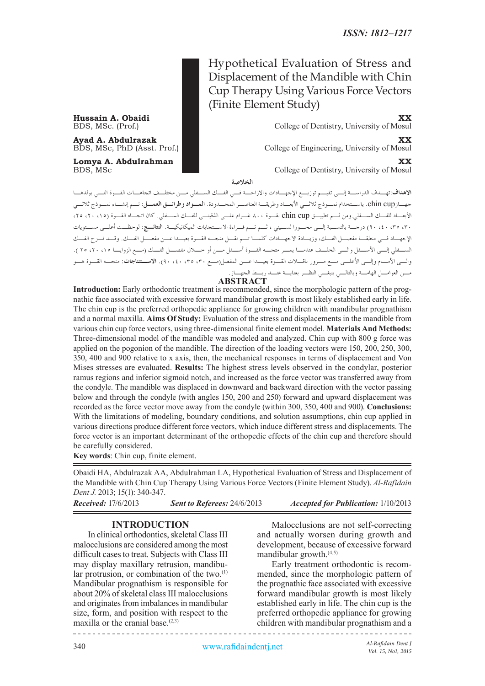# Hypothetical Evaluation of Stress and Displacement of the Mandible with Chin Cup Therapy Using Various Force Vectors (Finite Element Study)

**Hussain A. Obaidi XX**<br>BDS, MSc. (Prof.) **XX**<br>College of Dentistry, University of Mosul College of Dentistry, University of Mosul

**Ayad A. Abdulrazak XX**<br>BDS, MSc, PhD (Asst. Prof.) College of Engineering, University of Mosul College of Engineering, University of Mosul

**Lomya A. Abdulrahman**<br>BDS, MSc **XX**<br>College of Dentistry, University of Mosul College of Dentistry, University of Mosul

**الخالصة**

**االهداف:**تهـدف الدراسـة إلـى تقيـم توزيـع اإلجهـادات واالزاحـة فـي الفـك السـفلي مـن مختلـف اتجاهـات القـوة التـي يولدهـا جهـازcup chin. باسـتخدام نمـوذج ثالثـي األبعـاد وطريقـة العناصـر المحـدودة. **المـواد وطرائـق العمـل:** تـم إنشـاء نمـوذج ثالثـي األبعـاد للفـك السـفلي.ومن ثـم تطبيـق cup chin بقـوة 800 غـرام علـى الذقينـى للفـك السـفلي. كان اتجـاه القـوة )،15 ،20 ،25 ،30 ،35 ،40 90( درجـة بالنسـبة إلـى محـورا لسـيني ، ثـم تـم قـراءة االسـتجابات الميكانيكيـة. **النتائـج:** لوحظـت أعلـى مسـتويات اإلجهـاد فـي منطقـة مفصـل الفـك، وزيـادة االجهـادات كلمـا تـم نقـل متجـه القـوة بعيـدا عـن مفصـل الفـك. وقـد نـزح الفـك الســفلي إلــي الأســفل والــي الخلــف عندمــا يمــر متجــه القــوة أســفل مــن أو خـــلال مفصــل الفــك (مــع الزوايــا ٢٥ ،٢٠ ، ٢٥ ). والـى األمـام وإلـى األعلـى مـع مـرور ناقـات القـوة بعيـدا عـن المفصل)مـع ،30 ،35 ،40 90(. **االسـتنتاجات:** متجـه القـوة هـو مـن العوامـل الهامـة وبالتالـي ينبغـي النظـر بعنايـة عنـد ربـط الجهـاز.

# **ABSTRACT**

**Introduction:** Early orthodontic treatment is recommended, since the morphologic pattern of the prognathic face associated with excessive forward mandibular growth is most likely established early in life. The chin cup is the preferred orthopedic appliance for growing children with mandibular prognathism and a normal maxilla. **Aims Of Study:** Evaluation of the stress and displacements in the mandible from various chin cup force vectors, using three-dimensional finite element model. **Materials And Methods:** Three-dimensional model of the mandible was modeled and analyzed. Chin cup with 800 g force was applied on the pogonion of the mandible. The direction of the loading vectors were 150, 200, 250, 300, 350, 400 and 900 relative to x axis, then, the mechanical responses in terms of displacement and Von Mises stresses are evaluated. **Results:** The highest stress levels observed in the condylar, posterior ramus regions and inferior sigmoid notch, and increased as the force vector was transferred away from the condyle. The mandible was displaced in downward and backward direction with the vector passing below and through the condyle (with angles 150, 200 and 250) forward and upward displacement was recorded as the force vector move away from the condyle (within 300, 350, 400 and 900). **Conclusions:** With the limitations of modeling, boundary conditions, and solution assumptions, chin cup applied in various directions produce different force vectors, which induce different stress and displacements. The force vector is an important determinant of the orthopedic effects of the chin cup and therefore should be carefully considered.

**Key words**: Chin cup, finite element.

Obaidi HA, Abdulrazak AA, Abdulrahman LA, Hypothetical Evaluation of Stress and Displacement of the Mandible with Chin Cup Therapy Using Various Force Vectors (Finite Element Study). *Al-Rafidain Dent J.* 2013; 15(1): 340-347.

*Received:* 17/6/2013 *Sent to Referees:* 24/6/2013 *Accepted for Publication:* 1/10/2013

## **INTRODUCTION**

In clinical orthodontics, skeletal Class III malocclusions are considered among the most difficult cases to treat. Subjects with Class III may display maxillary retrusion, mandibular protrusion, or combination of the two. $^{(1)}$ Mandibular prognathism is responsible for about 20% of skeletal class III malocclusions and originates from imbalances in mandibular size, form, and position with respect to the maxilla or the cranial base. $(2,3)$ 

Malocclusions are not self-correcting and actually worsen during growth and development, because of excessive forward mandibular growth.(4,5)

Early treatment orthodontic is recommended, since the morphologic pattern of the prognathic face associated with excessive forward mandibular growth is most likely established early in life. The chin cup is the preferred orthopedic appliance for growing children with mandibular prognathism and a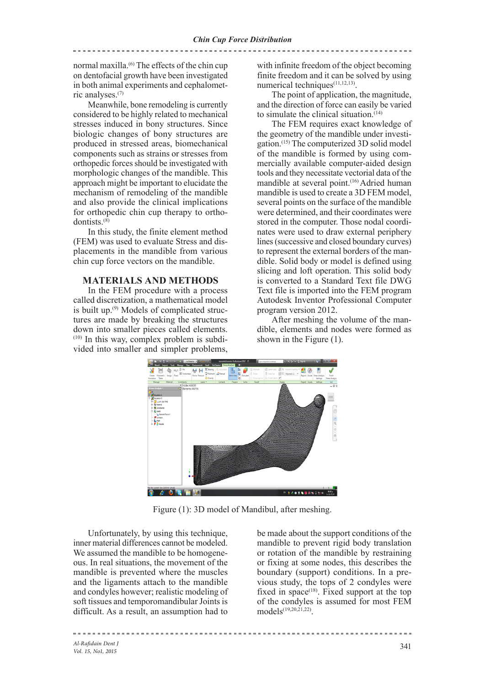. \_ \_ \_ \_ \_ \_ \_ \_ \_ \_ \_ \_ \_ \_ \_

normal maxilla.(6) The effects of the chin cup on dentofacial growth have been investigated in both animal experiments and cephalometric analyses.(7)

Meanwhile, bone remodeling is currently considered to be highly related to mechanical stresses induced in bony structures. Since biologic changes of bony structures are produced in stressed areas, biomechanical components such as strains or stresses from orthopedic forces should be investigated with morphologic changes of the mandible. This approach might be important to elucidate the mechanism of remodeling of the mandible and also provide the clinical implications for orthopedic chin cup therapy to orthodontists.(8)

In this study, the finite element method (FEM) was used to evaluate Stress and displacements in the mandible from various chin cup force vectors on the mandible.

#### **MATERIALS AND METHODS**

In the FEM procedure with a process called discretization, a mathematical model is built up.(9) Models of complicated structures are made by breaking the structures down into smaller pieces called elements.  $(10)$  In this way, complex problem is subdivided into smaller and simpler problems,

with infinite freedom of the object becoming finite freedom and it can be solved by using numerical techniques<sup>(11,12,13)</sup>.

The point of application, the magnitude, and the direction of force can easily be varied to simulate the clinical situation. $(14)$ 

The FEM requires exact knowledge of the geometry of the mandible under investigation.(15) The computerized 3D solid model of the mandible is formed by using commercially available computer-aided design tools and they necessitate vectorial data of the mandible at several point.<sup>(16)</sup> Adried human mandible is used to create a 3D FEM model, several points on the surface of the mandible were determined, and their coordinates were stored in the computer. Those nodal coordinates were used to draw external periphery lines (successive and closed boundary curves) to represent the external borders of the mandible. Solid body or model is defined using slicing and loft operation. This solid body is converted to a Standard Text file DWG Text file is imported into the FEM program Autodesk Inventor Professional Computer program version 2012.

After meshing the volume of the mandible, elements and nodes were formed as shown in the Figure (1).



Figure (1): 3D model of Mandibul, after meshing.

Unfortunately, by using this technique, inner material differences cannot be modeled. We assumed the mandible to be homogeneous. In real situations, the movement of the mandible is prevented where the muscles and the ligaments attach to the mandible and condyles however; realistic modeling of soft tissues and temporomandibular Joints is difficult. As a result, an assumption had to

be made about the support conditions of the mandible to prevent rigid body translation or rotation of the mandible by restraining or fixing at some nodes, this describes the boundary (support) conditions. In a previous study, the tops of 2 condyles were fixed in space<sup> $(18)$ </sup>. Fixed support at the top of the condyles is assumed for most FEM models(19,20,21,22).

*Al-Rafidain Dent J Vol. 15, No1, 2015*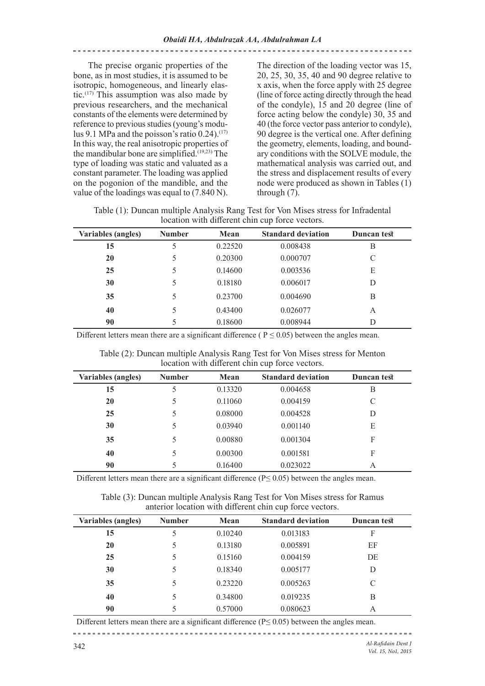The precise organic properties of the bone, as in most studies, it is assumed to be isotropic, homogeneous, and linearly elastic.<sup> $(17)$ </sup> This assumption was also made by previous researchers, and the mechanical constants of the elements were determined by reference to previous studies (young's modulus 9.1 MPa and the poisson's ratio  $0.24$ ).<sup>(17)</sup> In this way, the real anisotropic properties of the mandibular bone are simplified.<sup> $(19,23)$ </sup> The type of loading was static and valuated as a constant parameter. The loading was applied on the pogonion of the mandible, and the value of the loadings was equal to (7.840 N).

The direction of the loading vector was 15, 20, 25, 30, 35, 40 and 90 degree relative to x axis, when the force apply with 25 degree (line of force acting directly through the head of the condyle), 15 and 20 degree (line of force acting below the condyle) 30, 35 and 40 (the force vector pass anterior to condyle), 90 degree is the vertical one. After defining the geometry, elements, loading, and boundary conditions with the SOLVE module, the mathematical analysis was carried out, and the stress and displacement results of every node were produced as shown in Tables (1) through  $(7)$ .

Table (1): Duncan multiple Analysis Rang Test for Von Mises stress for Infradental location with different chin cup force vectors.

| <b>Variables (angles)</b> | <b>Number</b> | Mean    | <b>Standard deviation</b> | Duncan test |
|---------------------------|---------------|---------|---------------------------|-------------|
| 15                        | 5             | 0.22520 | 0.008438                  | В           |
| 20                        | 5             | 0.20300 | 0.000707                  | C           |
| 25                        | 5             | 0.14600 | 0.003536                  | E           |
| 30                        | 5             | 0.18180 | 0.006017                  | D           |
| 35                        | 5             | 0.23700 | 0.004690                  | B           |
| 40                        | 5             | 0.43400 | 0.026077                  | A           |
| 90                        | 5             | 0.18600 | 0.008944                  | D           |

Different letters mean there are a significant difference ( $P \le 0.05$ ) between the angles mean.

| <b>Variables (angles)</b> | <b>Number</b> | Mean    | <b>Standard deviation</b> | Duncan test |  |
|---------------------------|---------------|---------|---------------------------|-------------|--|
| 15                        | 5             | 0.13320 | 0.004658                  | B           |  |
| 20                        | 5             | 0.11060 | 0.004159                  | C           |  |
| 25                        | 5             | 0.08000 | 0.004528                  | D           |  |
| 30                        | 5             | 0.03940 | 0.001140                  | E           |  |
| 35                        | 5             | 0.00880 | 0.001304                  | F           |  |
| 40                        | 5             | 0.00300 | 0.001581                  | F           |  |
| 90                        |               | 0.16400 | 0.023022                  | А           |  |

Table (2): Duncan multiple Analysis Rang Test for Von Mises stress for Menton location with different chin cup force vectors.

Different letters mean there are a significant difference ( $P \le 0.05$ ) between the angles mean.

Table (3): Duncan multiple Analysis Rang Test for Von Mises stress for Ramus anterior location with different chin cup force vectors.

| <b>Variables (angles)</b> | <b>Number</b> | Mean    | <b>Standard deviation</b> | Duncan test |  |
|---------------------------|---------------|---------|---------------------------|-------------|--|
| 15                        | 5             | 0.10240 | 0.013183                  | F           |  |
| 20                        | 5             | 0.13180 | 0.005891                  | EF          |  |
| 25                        | 5             | 0.15160 | 0.004159                  | DE          |  |
| 30                        | 5             | 0.18340 | 0.005177                  | D           |  |
| 35                        | 5             | 0.23220 | 0.005263                  | C           |  |
| 40                        | 5             | 0.34800 | 0.019235                  | B           |  |
| 90                        |               | 0.57000 | 0.080623                  | А           |  |

Different letters mean there are a significant difference (P≤ 0.05) between the angles mean.

*Al-Rafidain Dent J*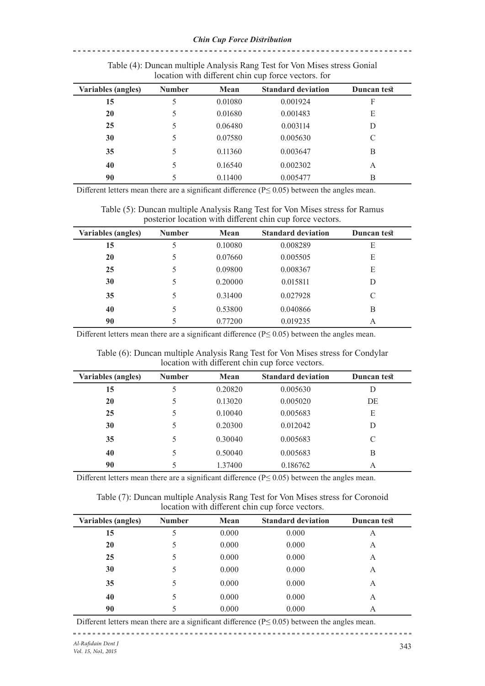| rocation with anterent chin cap force vectors. For |               |         |                           |             |  |
|----------------------------------------------------|---------------|---------|---------------------------|-------------|--|
| <b>Variables (angles)</b>                          | <b>Number</b> | Mean    | <b>Standard deviation</b> | Duncan test |  |
| 15                                                 | 5             | 0.01080 | 0.001924                  | F           |  |
| 20                                                 | 5             | 0.01680 | 0.001483                  | E           |  |
| 25                                                 | 5             | 0.06480 | 0.003114                  | D           |  |
| 30                                                 | 5             | 0.07580 | 0.005630                  | C           |  |
| 35                                                 | 5             | 0.11360 | 0.003647                  | В           |  |
| 40                                                 | 5             | 0.16540 | 0.002302                  | А           |  |
| 90                                                 | 5             | 0.11400 | 0.005477                  | В           |  |

Table (4): Duncan multiple Analysis Rang Test for Von Mises stress Gonial location with different chin cup force vectors. for

Different letters mean there are a significant difference (P≤ 0.05) between the angles mean.

Table (5): Duncan multiple Analysis Rang Test for Von Mises stress for Ramus posterior location with different chin cup force vectors.

| <b>Variables</b> (angles) | <b>Number</b> | Mean    | <b>Standard deviation</b> | Duncan test |
|---------------------------|---------------|---------|---------------------------|-------------|
| 15                        |               | 0.10080 | 0.008289                  | E           |
| 20                        | 5             | 0.07660 | 0.005505                  | E           |
| 25                        | 5             | 0.09800 | 0.008367                  | E           |
| 30                        | 5             | 0.20000 | 0.015811                  | D           |
| 35                        | 5             | 0.31400 | 0.027928                  | C           |
| 40                        | 5             | 0.53800 | 0.040866                  | B           |
| 90                        |               | 0.77200 | 0.019235                  | А           |

Different letters mean there are a significant difference ( $P \le 0.05$ ) between the angles mean.

Table (6): Duncan multiple Analysis Rang Test for Von Mises stress for Condylar location with different chin cup force vectors.

| <b>Variables</b> (angles) | <b>Number</b> | Mean    | <b>Standard deviation</b> | Duncan test |
|---------------------------|---------------|---------|---------------------------|-------------|
| 15                        | 5             | 0.20820 | 0.005630                  | D           |
| 20                        | 5             | 0.13020 | 0.005020                  | DE          |
| 25                        | 5             | 0.10040 | 0.005683                  | E           |
| 30                        | 5             | 0.20300 | 0.012042                  | D           |
| 35                        | 5             | 0.30040 | 0.005683                  | C           |
| 40                        | 5             | 0.50040 | 0.005683                  | B           |
| 90                        | 5             | 1.37400 | 0.186762                  | A           |

Different letters mean there are a significant difference ( $P \le 0.05$ ) between the angles mean.

Table (7): Duncan multiple Analysis Rang Test for Von Mises stress for Coronoid location with different chin cup force vectors.

| <b>Variables</b> (angles) | <b>Number</b> | Mean  | <b>Standard deviation</b> | Duncan test |
|---------------------------|---------------|-------|---------------------------|-------------|
| 15                        | 5             | 0.000 | 0.000                     | А           |
| 20                        | 5             | 0.000 | 0.000                     | А           |
| 25                        | 5             | 0.000 | 0.000                     | A           |
| 30                        | 5             | 0.000 | 0.000                     | А           |
| 35                        | 5             | 0.000 | 0.000                     | A           |
| 40                        | 5             | 0.000 | 0.000                     | А           |
| 90                        |               | 0.000 | 0.000                     | А           |

Different letters mean there are a significant difference (P≤ 0.05) between the angles mean.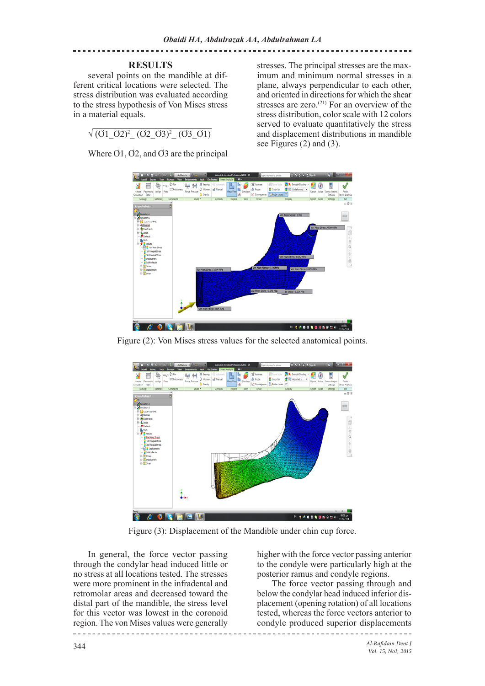\_\_\_\_\_\_\_\_\_\_\_\_\_\_\_\_\_\_\_\_\_\_\_\_\_\_\_\_\_\_\_\_\_\_

# **RESULTS**

several points on the mandible at different critical locations were selected. The stress distribution was evaluated according to the stress hypothesis of Von Mises stress in a material equals.

 $\sqrt{(0102)^2 - (0203)^2}$   $(0301)$ 

Where O1, O2, and O3 are the principal

stresses. The principal stresses are the maximum and minimum normal stresses in a plane, always perpendicular to each other, and oriented in directions for which the shear stresses are zero. $(21)$  For an overview of the stress distribution, color scale with 12 colors served to evaluate quantitatively the stress and displacement distributions in mandible see Figures (2) and (3).



Figure (2): Von Mises stress values for the selected anatomical points.



Figure (3): Displacement of the Mandible under chin cup force.

In general, the force vector passing through the condylar head induced little or no stress at all locations tested. The stresses were more prominent in the infradental and retromolar areas and decreased toward the distal part of the mandible, the stress level for this vector was lowest in the coronoid region. The von Mises values were generally

higher with the force vector passing anterior to the condyle were particularly high at the posterior ramus and condyle regions.

The force vector passing through and below the condylar head induced inferior displacement (opening rotation) of all locations tested, whereas the force vectors anterior to condyle produced superior displacements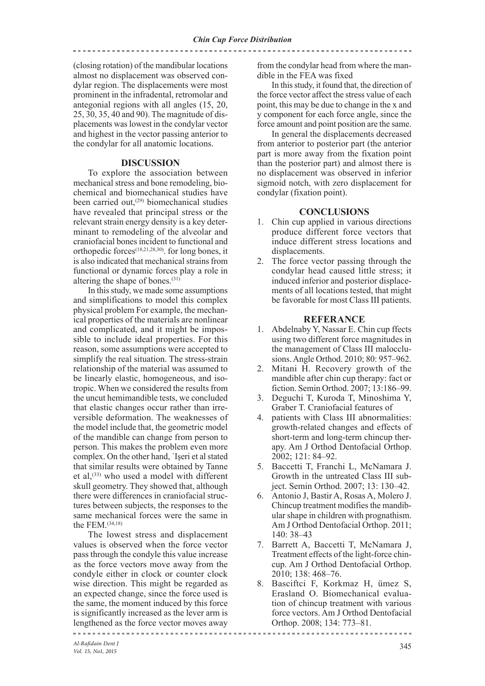(closing rotation) of the mandibular locations almost no displacement was observed condylar region. The displacements were most prominent in the infradental, retromolar and antegonial regions with all angles (15, 20, 25, 30, 35, 40 and 90). The magnitude of displacements was lowest in the condylar vector and highest in the vector passing anterior to the condylar for all anatomic locations.

#### **DISCUSSION**

To explore the association between mechanical stress and bone remodeling, biochemical and biomechanical studies have been carried out,<sup>(29)</sup> biomechanical studies have revealed that principal stress or the relevant strain energy density is a key determinant to remodeling of the alveolar and craniofacial bones incident to functional and orthopedic forces(18,21,28,30). for long bones, it is also indicated that mechanical strains from functional or dynamic forces play a role in altering the shape of bones.(31)

In this study, we made some assumptions and simplifications to model this complex physical problem For example, the mechanical properties of the materials are nonlinear and complicated, and it might be impossible to include ideal properties. For this reason, some assumptions were accepted to simplify the real situation. The stress-strain relationship of the material was assumed to be linearly elastic, homogeneous, and isotropic. When we considered the results from the uncut hemimandible tests, we concluded that elastic changes occur rather than irreversible deformation. The weaknesses of the model include that, the geometric model of the mandible can change from person to person. This makes the problem even more complex. On the other hand, ˙Işeri et al stated that similar results were obtained by Tanne et al.<sup>(33)</sup> who used a model with different skull geometry. They showed that, although there were differences in craniofacial structures between subjects, the responses to the same mechanical forces were the same in the FEM.(34,18)

The lowest stress and displacement values is observed when the force vector pass through the condyle this value increase as the force vectors move away from the condyle either in clock or counter clock wise direction. This might be regarded as an expected change, since the force used is the same, the moment induced by this force is significantly increased as the lever arm is lengthened as the force vector moves away

from the condylar head from where the mandible in the FEA was fixed

\_\_\_\_\_\_\_\_\_\_\_\_\_\_\_\_\_\_\_\_\_\_\_\_\_\_\_\_\_\_\_\_\_\_

In this study, it found that, the direction of the force vector affect the stress value of each point, this may be due to change in the x and y component for each force angle, since the force amount and point position are the same.

In general the displacements decreased from anterior to posterior part (the anterior part is more away from the fixation point than the posterior part) and almost there is no displacement was observed in inferior sigmoid notch, with zero displacement for condylar (fixation point).

### **CONCLUSIONS**

- 1. Chin cup applied in various directions produce different force vectors that induce different stress locations and displacements.
- 2. The force vector passing through the condylar head caused little stress; it induced inferior and posterior displacements of all locations tested, that might be favorable for most Class III patients.

### **REFERANCE**

- 1. Abdelnaby Y, Nassar E. Chin cup ffects using two different force magnitudes in the management of Class III malocclusions. Angle Orthod. 2010; 80: 957–962.
- 2. Mitani H. Recovery growth of the mandible after chin cup therapy: fact or fiction. Semin Orthod. 2007; 13:186–99.
- 3. Deguchi T, Kuroda T, Minoshima Y, Graber T. Craniofacial features of
- 4. patients with Class III abnormalities: growth-related changes and effects of short-term and long-term chincup therapy. Am J Orthod Dentofacial Orthop. 2002; 121: 84–92.
- 5. Baccetti T, Franchi L, McNamara J. Growth in the untreated Class III subject. Semin Orthod. 2007; 13: 130–42.
- 6. Antonio J, Bastir A, Rosas A, Molero J. Chincup treatment modifies the mandibular shape in children with prognathism. Am J Orthod Dentofacial Orthop. 2011; 140: 38–43
- 7. Barrett A, Baccetti T, McNamara J, Treatment effects of the light-force chincup. Am J Orthod Dentofacial Orthop. 2010; 138: 468–76.
- 8. Basciftci F, Korkmaz H, ümez S, Erasland O. Biomechanical evaluation of chincup treatment with various force vectors. Am J Orthod Dentofacial Orthop. 2008; 134: 773–81.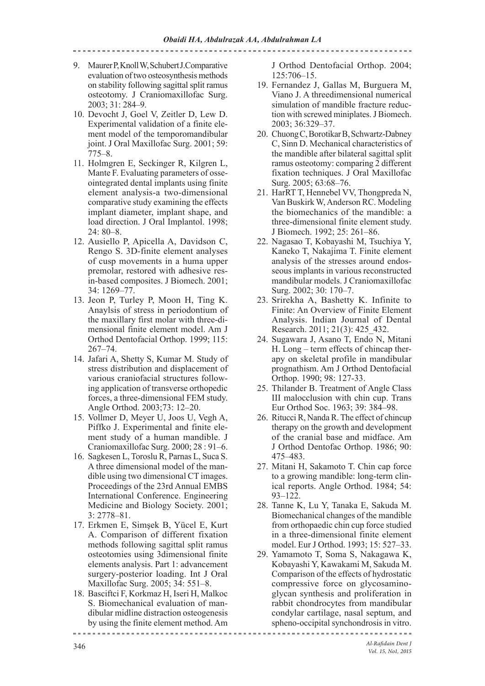- 9. Maurer P, Knoll W, Schubert J.Comparative evaluation of two osteosynthesis methods on stability following sagittal split ramus osteotomy. J Craniomaxillofac Surg. 2003; 31: 284–9.
- 10. Devocht J, Goel V, Zeitler D, Lew D. Experimental validation of a finite element model of the temporomandibular joint. J Oral Maxillofac Surg. 2001; 59: 775–8.
- 11. Holmgren E, Seckinger R, Kilgren L, Mante F. Evaluating parameters of osseointegrated dental implants using finite element analysis-a two-dimensional comparative study examining the effects implant diameter, implant shape, and load direction. J Oral Implantol. 1998; 24: 80–8.
- 12. Ausiello P, Apicella A, Davidson C, Rengo S. 3D-finite element analyses of cusp movements in a huma upper premolar, restored with adhesive resin-based composites. J Biomech. 2001; 34: 1269–77.
- 13. Jeon P, Turley P, Moon H, Ting K. Anaylsis of stress in periodontium of the maxillary first molar with three-dimensional finite element model. Am J Orthod Dentofacial Orthop. 1999; 115: 267–74.
- 14. Jafari A, Shetty S, Kumar M. Study of stress distribution and displacement of various craniofacial structures following application of transverse orthopedic forces, a three-dimensional FEM study. Angle Orthod. 2003;73: 12–20.
- 15. Vollmer D, Meyer U, Joos U, Vegh A, Piffko J. Experimental and finite element study of a human mandible. J Craniomaxillofac Surg. 2000; 28 : 91–6.
- 16. Sagkesen L, Toroslu R, Parnas L, Suca S. A three dimensional model of the mandible using two dimensional CT images. Proceedings of the 23rd Annual EMBS International Conference. Engineering Medicine and Biology Society. 2001; 3: 2778–81.
- 17. Erkmen E, Simşek B, Yücel E, Kurt A. Comparison of different fixation methods following sagittal split ramus osteotomies using 3dimensional finite elements analysis. Part 1: advancement surgery-posterior loading. Int J Oral Maxillofac Surg. 2005; 34: 551–8.
- 18. Basciftci F, Korkmaz H, Iseri H, Malkoc S. Biomechanical evaluation of mandibular midline distraction osteogenesis by using the finite element method. Am

J Orthod Dentofacial Orthop. 2004; 125:706–15.

- 19. Fernandez J, Gallas M, Burguera M, Viano J. A threedimensional numerical simulation of mandible fracture reduction with screwed miniplates. J Biomech. 2003; 36:329–37.
- 20. Chuong C, Borotikar B, Schwartz-Dabney C, Sinn D. Mechanical characteristics of the mandible after bilateral sagittal split ramus osteotomy: comparing 2 different fixation techniques. J Oral Maxillofac Surg. 2005; 63:68–76.
- 21. HarRT T, Hennebel VV, Thongpreda N, Van Buskirk W, Anderson RC. Modeling the biomechanics of the mandible: a three-dimensional finite element study. J Biomech. 1992; 25: 261–86.
- 22. Nagasao T, Kobayashi M, Tsuchiya Y, Kaneko T, Nakajima T. Finite element analysis of the stresses around endosseous implants in various reconstructed mandibular models. J Craniomaxillofac Surg. 2002; 30: 170–7.
- 23. Srirekha A, Bashetty K. Infinite to Finite: An Overview of Finite Element Analysis. Indian Journal of Dental Research. 2011; 21(3): 425\_432.
- 24. Sugawara J, Asano T, Endo N, Mitani H. Long – term effects of chincap therapy on skeletal profile in mandibular prognathism. Am J Orthod Dentofacial Orthop. 1990; 98: 127-33.
- 25. Thilander B. Treatment of Angle Class III malocclusion with chin cup. Trans Eur Orthod Soc. 1963; 39: 384–98.
- 26. Ritucci R, Nanda R. The effect of chincup therapy on the growth and development of the cranial base and midface. Am J Orthod Dentofac Orthop. 1986; 90: 475–483.
- 27. Mitani H, Sakamoto T. Chin cap force to a growing mandible: long-term clinical reports. Angle Orthod. 1984; 54: 93–122.
- 28. Tanne K, Lu Y, Tanaka E, Sakuda M. Biomechanical changes of the mandible from orthopaedic chin cup force studied in a three-dimensional finite element model. Eur J Orthod. 1993; 15: 527–33.
- 29. Yamamoto T, Soma S, Nakagawa K, Kobayashi Y, Kawakami M, Sakuda M. Comparison of the effects of hydrostatic compressive force on glycosaminoglycan synthesis and proliferation in rabbit chondrocytes from mandibular condylar cartilage, nasal septum, and spheno-occipital synchondrosis in vitro.